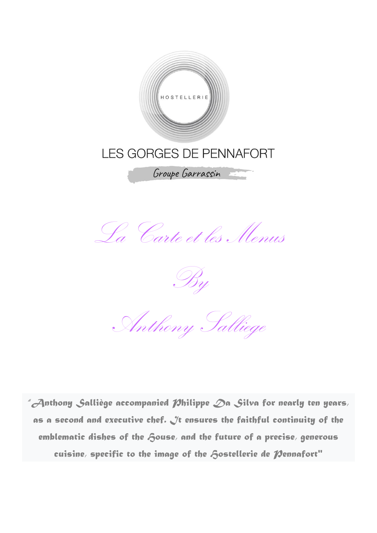

La Carte et les Menus

By

Anthony Salliege

*"Anthony Salliège accompanied Philippe Da Silva for nearly ten years, as a second and executive chef. It ensures the faithful continuity of the*  emblematic dishes of the *f*ouse, and the future of a precise, generous cuisine, specific to the image of the **Aostellerie de Nennafort**"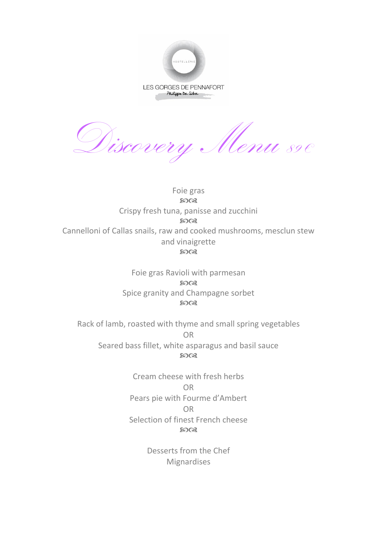

Discovery Menu 89€

Foie gras **8003** Crispy fresh tuna, panisse and zucchini  $5003$ Cannelloni of Callas snails, raw and cooked mushrooms, mesclun stew and vinaigrette  $5003$ 

> Foie gras Ravioli with parmesan **8008** Spice granity and Champagne sorbet  $5003$

Rack of lamb, roasted with thyme and small spring vegetables OR Seared bass fillet, white asparagus and basil sauce **8008** 

> Cream cheese with fresh herbs OR Pears pie with Fourme d'Ambert OR Selection of finest French cheese **80Q3**

> > Desserts from the Chef Mignardises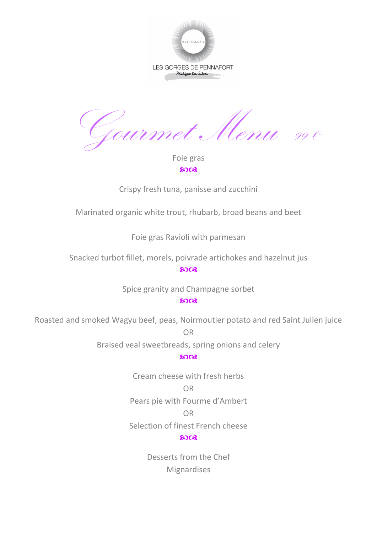

Gourmet Menu <sup>99</sup> €

Foie gras 5008

Crispy fresh tuna, panisse and zucchini

Marinated organic white trout, rhubarb, broad beans and beet

Foie gras Ravioli with parmesan

Snacked turbot fillet, morels, poivrade artichokes and hazelnut jus

 $2003$ 

Spice granity and Champagne sorbet

**8008** 

Roasted and smoked Wagyu beef, peas, Noirmoutier potato and red Saint Julien juice

OR

Braised veal sweetbreads, spring onions and celery

 $5003$ 

Cream cheese with fresh herbs OR Pears pie with Fourme d'Ambert

OR

Selection of finest French cheese

 $5003$ 

Desserts from the Chef Mignardises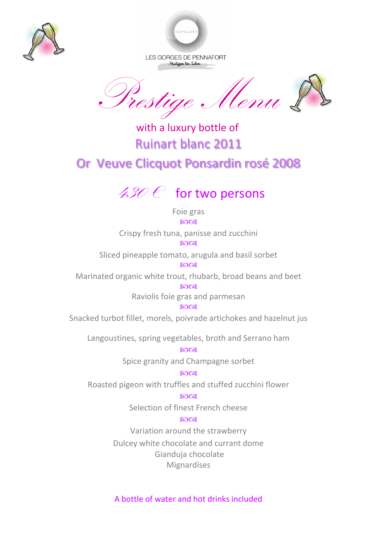



LES GORGES DE PENNAFORT Philippe Da Siba

Uenu &

 with a luxury bottle of Ruinart blanc 2011 Or Veuve Clicquot Ponsardin rosé 2008

## $430 \, \epsilon$  for two persons

Foie gras **8003** 

Crispy fresh tuna, panisse and zucchini ෨෬෭

Sliced pineapple tomato, arugula and basil sorbet ഩ൙

Marinated organic white trout, rhubarb, broad beans and beet

8008 Raviolis foie gras and parmesan

മാരു

Snacked turbot fillet, morels, poivrade artichokes and hazelnut jus

Langoustines, spring vegetables, broth and Serrano ham

 $5003$ Spice granity and Champagne sorbet

ഩ൙

Roasted pigeon with truffles and stuffed zucchini flower

മാര

Selection of finest French cheese

## മാര

Variation around the strawberry

Dulcey white chocolate and currant dome Gianduja chocolate Mignardises

A bottle of water and hot drinks included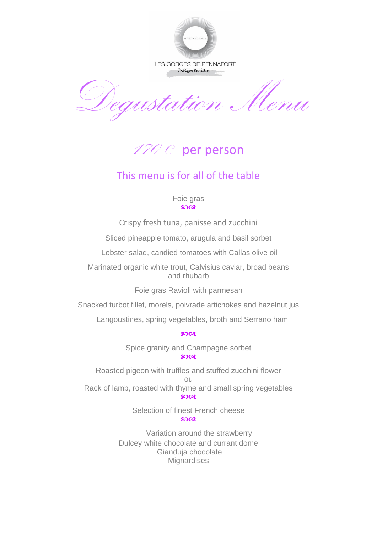

LES GORGES DE PENNAFORT Philippe Da Siba

Degustation Menu

 $\mathscr{A ZO}$   $\mathscr{C}$  per person

## This menu is for all of the table

Foie gras **8003** 

Crispy fresh tuna, panisse and zucchini

Sliced pineapple tomato, arugula and basil sorbet

Lobster salad, candied tomatoes with Callas olive oil

Marinated organic white trout, Calvisius caviar, broad beans and rhubarb

Foie gras Ravioli with parmesan

Snacked turbot fillet, morels, poivrade artichokes and hazelnut jus

Langoustines, spring vegetables, broth and Serrano ham

**8008** 

Spice granity and Champagne sorbet ഹേഷ

Roasted pigeon with truffles and stuffed zucchini flower ou Rack of lamb, roasted with thyme and small spring vegetables **8003** 

> Selection of finest French cheese  $2008$

 Variation around the strawberry Dulcey white chocolate and currant dome Gianduja chocolate **Mignardises**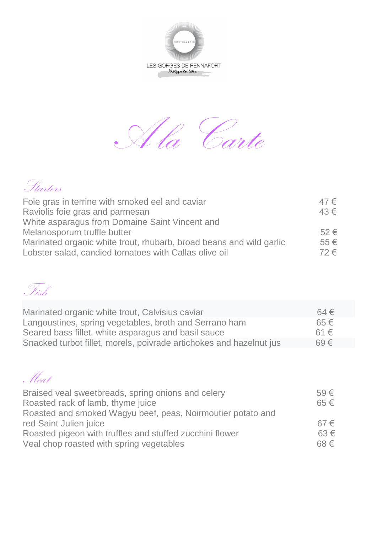



| . Starters                                                                                                                   |            |
|------------------------------------------------------------------------------------------------------------------------------|------------|
| Foie gras in terrine with smoked eel and caviar                                                                              | $47 \in$   |
| Raviolis foie gras and parmesan                                                                                              | 43€        |
| White asparagus from Domaine Saint Vincent and                                                                               |            |
| Melanosporum truffle butter                                                                                                  | $52 \in$   |
| Marinated organic white trout, rhubarb, broad beans and wild garlic<br>Lobster salad, candied tomatoes with Callas olive oil | 55€<br>72€ |

Fish

| Marinated organic white trout, Calvisius caviar                     | $64 \in$ |
|---------------------------------------------------------------------|----------|
| Langoustines, spring vegetables, broth and Serrano ham              | $65 \in$ |
| Seared bass fillet, white asparagus and basil sauce                 | $61 \in$ |
| Snacked turbot fillet, morels, poivrade artichokes and hazelnut jus | $69 \in$ |

| Meat . |  |
|--------|--|

| Braised veal sweetbreads, spring onions and celery          | $59 \in$ |
|-------------------------------------------------------------|----------|
| Roasted rack of lamb, thyme juice                           | $65 \in$ |
| Roasted and smoked Wagyu beef, peas, Noirmoutier potato and |          |
| red Saint Julien juice                                      | $67 \in$ |
| Roasted pigeon with truffles and stuffed zucchini flower    | $63 \in$ |
| Veal chop roasted with spring vegetables                    | $68 \in$ |